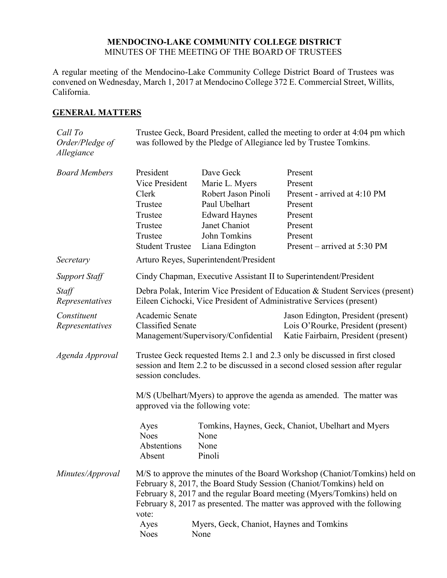## **MENDOCINO-LAKE COMMUNITY COLLEGE DISTRICT** MINUTES OF THE MEETING OF THE BOARD OF TRUSTEES

A regular meeting of the Mendocino-Lake Community College District Board of Trustees was convened on Wednesday, March 1, 2017 at Mendocino College 372 E. Commercial Street, Willits, California.

# **GENERAL MATTERS**

| Call To<br>Order/Pledge of<br>Allegiance | Trustee Geck, Board President, called the meeting to order at 4:04 pm which<br>was followed by the Pledge of Allegiance led by Trustee Tomkins.                                                                                                                                                                   |                                                                                                                                                |                                                                                                                                |  |
|------------------------------------------|-------------------------------------------------------------------------------------------------------------------------------------------------------------------------------------------------------------------------------------------------------------------------------------------------------------------|------------------------------------------------------------------------------------------------------------------------------------------------|--------------------------------------------------------------------------------------------------------------------------------|--|
| <b>Board Members</b>                     | President<br>Vice President<br>Clerk<br>Trustee<br>Trustee<br>Trustee<br>Trustee<br><b>Student Trustee</b>                                                                                                                                                                                                        | Dave Geck<br>Marie L. Myers<br>Robert Jason Pinoli<br>Paul Ubelhart<br><b>Edward Haynes</b><br>Janet Chaniot<br>John Tomkins<br>Liana Edington | Present<br>Present<br>Present - arrived at 4:10 PM<br>Present<br>Present<br>Present<br>Present<br>Present – arrived at 5:30 PM |  |
| Secretary                                | Arturo Reyes, Superintendent/President                                                                                                                                                                                                                                                                            |                                                                                                                                                |                                                                                                                                |  |
| Support Staff                            | Cindy Chapman, Executive Assistant II to Superintendent/President                                                                                                                                                                                                                                                 |                                                                                                                                                |                                                                                                                                |  |
| Staff<br>Representatives                 | Debra Polak, Interim Vice President of Education & Student Services (present)<br>Eileen Cichocki, Vice President of Administrative Services (present)                                                                                                                                                             |                                                                                                                                                |                                                                                                                                |  |
| Constituent<br>Representatives           | Academic Senate<br><b>Classified Senate</b>                                                                                                                                                                                                                                                                       | Management/Supervisory/Confidential                                                                                                            | Jason Edington, President (present)<br>Lois O'Rourke, President (present)<br>Katie Fairbairn, President (present)              |  |
| Agenda Approval                          | Trustee Geck requested Items 2.1 and 2.3 only be discussed in first closed<br>session and Item 2.2 to be discussed in a second closed session after regular<br>session concludes.                                                                                                                                 |                                                                                                                                                |                                                                                                                                |  |
|                                          | M/S (Ubelhart/Myers) to approve the agenda as amended. The matter was<br>approved via the following vote:                                                                                                                                                                                                         |                                                                                                                                                |                                                                                                                                |  |
|                                          | Ayes<br><b>Noes</b><br>Abstentions<br>Absent                                                                                                                                                                                                                                                                      | None<br>None<br>Pinoli                                                                                                                         | Tomkins, Haynes, Geck, Chaniot, Ubelhart and Myers                                                                             |  |
| Minutes/Approval                         | M/S to approve the minutes of the Board Workshop (Chaniot/Tomkins) held on<br>February 8, 2017, the Board Study Session (Chaniot/Tomkins) held on<br>February 8, 2017 and the regular Board meeting (Myers/Tomkins) held on<br>February 8, 2017 as presented. The matter was approved with the following<br>vote: |                                                                                                                                                |                                                                                                                                |  |
|                                          | Ayes<br><b>Noes</b>                                                                                                                                                                                                                                                                                               | Myers, Geck, Chaniot, Haynes and Tomkins<br>None                                                                                               |                                                                                                                                |  |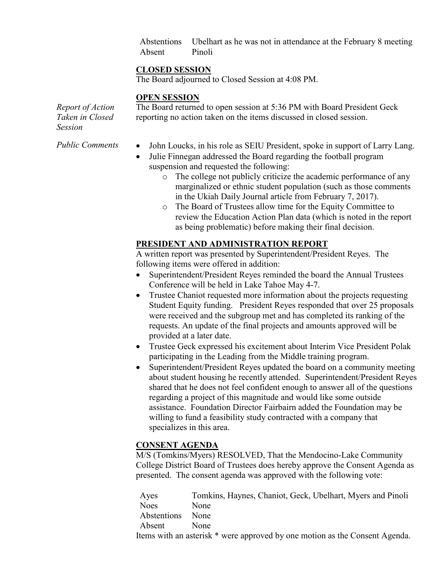Abstentions Ubelhart as he was not in attendance at the February 8 meeting Absent Pinoli

# **CLOSED SESSION**

The Board adjourned to Closed Session at 4:08 PM.

# **OPEN SESSION**

*Report of Action Taken in Closed Session*

The Board returned to open session at 5:36 PM with Board President Geck reporting no action taken on the items discussed in closed session.

- *Public Comments* John Loucks, in his role as SEIU President, spoke in support of Larry Lang.
	- Julie Finnegan addressed the Board regarding the football program suspension and requested the following:
		- o The college not publicly criticize the academic performance of any marginalized or ethnic student population (such as those comments in the Ukiah Daily Journal article from February 7, 2017).
		- o The Board of Trustees allow time for the Equity Committee to review the Education Action Plan data (which is noted in the report as being problematic) before making their final decision.

# **PRESIDENT AND ADMINISTRATION REPORT**

A written report was presented by Superintendent/President Reyes. The following items were offered in addition:

- Superintendent/President Reyes reminded the board the Annual Trustees Conference will be held in Lake Tahoe May 4-7.
- Trustee Chaniot requested more information about the projects requesting Student Equity funding. President Reyes responded that over 25 proposals were received and the subgroup met and has completed its ranking of the requests. An update of the final projects and amounts approved will be provided at a later date.
- Trustee Geck expressed his excitement about Interim Vice President Polak participating in the Leading from the Middle training program.
- Superintendent/President Reyes updated the board on a community meeting about student housing he recently attended. Superintendent/President Reyes shared that he does not feel confident enough to answer all of the questions regarding a project of this magnitude and would like some outside assistance. Foundation Director Fairbairn added the Foundation may be willing to fund a feasibility study contracted with a company that specializes in this area.

# **CONSENT AGENDA**

M/S (Tomkins/Myers) RESOLVED, That the Mendocino-Lake Community College District Board of Trustees does hereby approve the Consent Agenda as presented. The consent agenda was approved with the following vote:

Ayes Tomkins, Haynes, Chaniot, Geck, Ubelhart, Myers and Pinoli Noes None Abstentions None Absent None Items with an asterisk \* were approved by one motion as the Consent Agenda.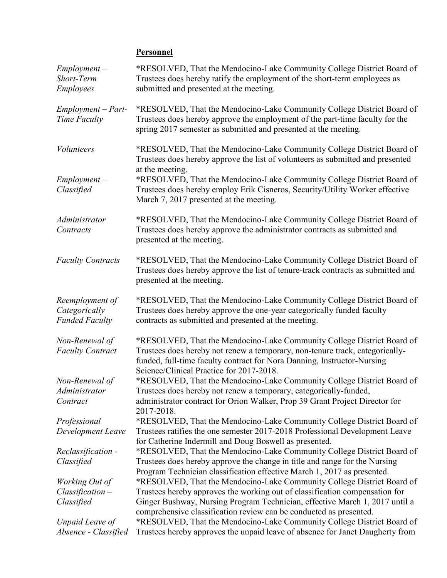# **Personnel**

| $Employment -$<br>Short-Term<br><b>Employees</b>          | *RESOLVED, That the Mendocino-Lake Community College District Board of<br>Trustees does hereby ratify the employment of the short-term employees as<br>submitted and presented at the meeting.                                                                                |
|-----------------------------------------------------------|-------------------------------------------------------------------------------------------------------------------------------------------------------------------------------------------------------------------------------------------------------------------------------|
| Employment - Part-<br>Time Faculty                        | *RESOLVED, That the Mendocino-Lake Community College District Board of<br>Trustees does hereby approve the employment of the part-time faculty for the<br>spring 2017 semester as submitted and presented at the meeting.                                                     |
| <i>Volunteers</i>                                         | *RESOLVED, That the Mendocino-Lake Community College District Board of<br>Trustees does hereby approve the list of volunteers as submitted and presented<br>at the meeting.                                                                                                   |
| $Employment -$<br>Classified                              | *RESOLVED, That the Mendocino-Lake Community College District Board of<br>Trustees does hereby employ Erik Cisneros, Security/Utility Worker effective<br>March 7, 2017 presented at the meeting.                                                                             |
| Administrator<br>Contracts                                | *RESOLVED, That the Mendocino-Lake Community College District Board of<br>Trustees does hereby approve the administrator contracts as submitted and<br>presented at the meeting.                                                                                              |
| <b>Faculty Contracts</b>                                  | *RESOLVED, That the Mendocino-Lake Community College District Board of<br>Trustees does hereby approve the list of tenure-track contracts as submitted and<br>presented at the meeting.                                                                                       |
| Reemployment of<br>Categorically<br><b>Funded Faculty</b> | *RESOLVED, That the Mendocino-Lake Community College District Board of<br>Trustees does hereby approve the one-year categorically funded faculty<br>contracts as submitted and presented at the meeting.                                                                      |
| Non-Renewal of<br><b>Faculty Contract</b>                 | *RESOLVED, That the Mendocino-Lake Community College District Board of<br>Trustees does hereby not renew a temporary, non-tenure track, categorically-<br>funded, full-time faculty contract for Nora Danning, Instructor-Nursing<br>Science/Clinical Practice for 2017-2018. |
| Non-Renewal of                                            | *RESOLVED, That the Mendocino-Lake Community College District Board of                                                                                                                                                                                                        |
| Administrator                                             | Trustees does hereby not renew a temporary, categorically-funded,                                                                                                                                                                                                             |
| Contract                                                  | administrator contract for Orion Walker, Prop 39 Grant Project Director for<br>2017-2018.                                                                                                                                                                                     |
| Professional                                              | *RESOLVED, That the Mendocino-Lake Community College District Board of                                                                                                                                                                                                        |
| Development Leave                                         | Trustees ratifies the one semester 2017-2018 Professional Development Leave<br>for Catherine Indermill and Doug Boswell as presented.                                                                                                                                         |
| Reclassification -                                        | *RESOLVED, That the Mendocino-Lake Community College District Board of                                                                                                                                                                                                        |
| Classified                                                | Trustees does hereby approve the change in title and range for the Nursing<br>Program Technician classification effective March 1, 2017 as presented.                                                                                                                         |
| Working Out of                                            | *RESOLVED, That the Mendocino-Lake Community College District Board of                                                                                                                                                                                                        |
| $Classification-$                                         | Trustees hereby approves the working out of classification compensation for                                                                                                                                                                                                   |
| Classified                                                | Ginger Bushway, Nursing Program Technician, effective March 1, 2017 until a<br>comprehensive classification review can be conducted as presented.                                                                                                                             |
| Unpaid Leave of                                           | *RESOLVED, That the Mendocino-Lake Community College District Board of                                                                                                                                                                                                        |
| Absence - Classified                                      | Trustees hereby approves the unpaid leave of absence for Janet Daugherty from                                                                                                                                                                                                 |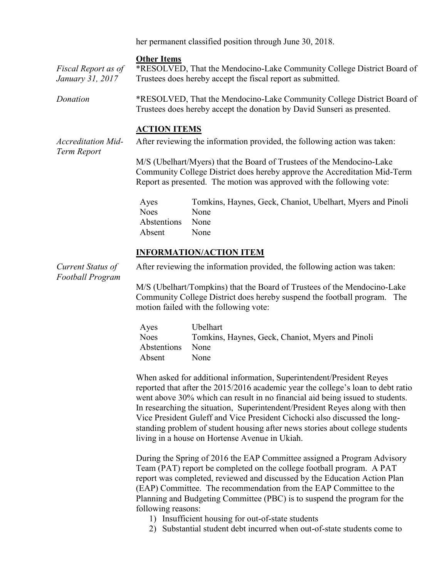her permanent classified position through June 30, 2018.

#### **Other Items**

*Fiscal Report as of January 31, 2017* \*RESOLVED, That the Mendocino-Lake Community College District Board of Trustees does hereby accept the fiscal report as submitted.

*Donation* \*RESOLVED, That the Mendocino-Lake Community College District Board of Trustees does hereby accept the donation by David Sunseri as presented.

#### **ACTION ITEMS**

*Accreditation Mid-Term Report* After reviewing the information provided, the following action was taken:

> M/S (Ubelhart/Myers) that the Board of Trustees of the Mendocino-Lake Community College District does hereby approve the Accreditation Mid-Term Report as presented. The motion was approved with the following vote:

Ayes Tomkins, Haynes, Geck, Chaniot, Ubelhart, Myers and Pinoli Noes None Abstentions None Absent None

### **INFORMATION/ACTION ITEM**

*Current Status of Football Program* After reviewing the information provided, the following action was taken:

M/S (Ubelhart/Tompkins) that the Board of Trustees of the Mendocino-Lake Community College District does hereby suspend the football program. The motion failed with the following vote:

| Ayes        | <b>Ubelhart</b>                                  |
|-------------|--------------------------------------------------|
| <b>Noes</b> | Tomkins, Haynes, Geck, Chaniot, Myers and Pinoli |
| Abstentions | <b>None</b>                                      |
| Absent      | <b>None</b>                                      |

When asked for additional information, Superintendent/President Reyes reported that after the 2015/2016 academic year the college's loan to debt ratio went above 30% which can result in no financial aid being issued to students. In researching the situation, Superintendent/President Reyes along with then Vice President Guleff and Vice President Cichocki also discussed the longstanding problem of student housing after news stories about college students living in a house on Hortense Avenue in Ukiah.

During the Spring of 2016 the EAP Committee assigned a Program Advisory Team (PAT) report be completed on the college football program. A PAT report was completed, reviewed and discussed by the Education Action Plan (EAP) Committee. The recommendation from the EAP Committee to the Planning and Budgeting Committee (PBC) is to suspend the program for the following reasons:

- 1) Insufficient housing for out-of-state students
- 2) Substantial student debt incurred when out-of-state students come to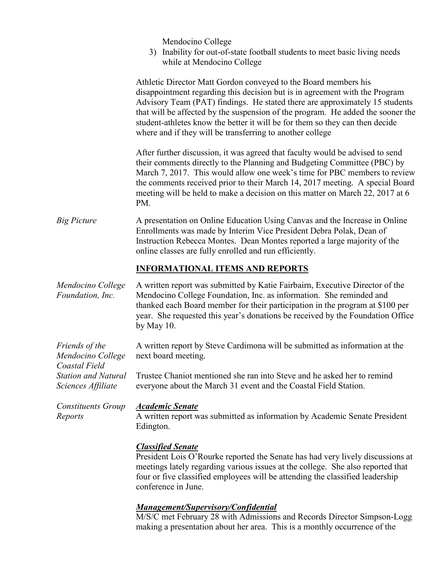Mendocino College

3) Inability for out-of-state football students to meet basic living needs while at Mendocino College

Athletic Director Matt Gordon conveyed to the Board members his disappointment regarding this decision but is in agreement with the Program Advisory Team (PAT) findings. He stated there are approximately 15 students that will be affected by the suspension of the program. He added the sooner the student-athletes know the better it will be for them so they can then decide where and if they will be transferring to another college After further discussion, it was agreed that faculty would be advised to send their comments directly to the Planning and Budgeting Committee (PBC) by March 7, 2017. This would allow one week's time for PBC members to review the comments received prior to their March 14, 2017 meeting. A special Board meeting will be held to make a decision on this matter on March 22, 2017 at 6 PM. *Big Picture* A presentation on Online Education Using Canvas and the Increase in Online Enrollments was made by Interim Vice President Debra Polak, Dean of Instruction Rebecca Montes. Dean Montes reported a large majority of the online classes are fully enrolled and run efficiently. **INFORMATIONAL ITEMS AND REPORTS**  *Mendocino College Foundation, Inc.* A written report was submitted by Katie Fairbairn, Executive Director of the Mendocino College Foundation, Inc. as information. She reminded and thanked each Board member for their participation in the program at \$100 per year. She requested this year's donations be received by the Foundation Office by May 10. *Friends of the Mendocino College Coastal Field Station and Natural Sciences Affiliate* A written report by Steve Cardimona will be submitted as information at the next board meeting. Trustee Chaniot mentioned she ran into Steve and he asked her to remind everyone about the March 31 event and the Coastal Field Station. *Constituents Group Reports Academic Senate* A written report was submitted as information by Academic Senate President Edington. *Classified Senate* President Lois O'Rourke reported the Senate has had very lively discussions at meetings lately regarding various issues at the college. She also reported that four or five classified employees will be attending the classified leadership conference in June.

# *Management/Supervisory/Confidential*

M/S/C met February 28 with Admissions and Records Director Simpson-Logg making a presentation about her area. This is a monthly occurrence of the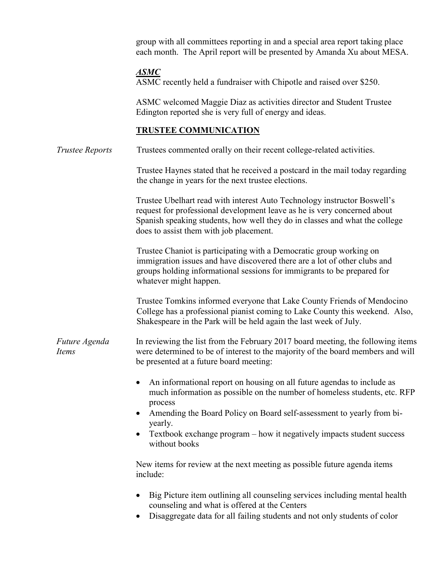group with all committees reporting in and a special area report taking place each month. The April report will be presented by Amanda Xu about MESA.

# *ASMC*

ASMC recently held a fundraiser with Chipotle and raised over \$250.

ASMC welcomed Maggie Diaz as activities director and Student Trustee Edington reported she is very full of energy and ideas.

# **TRUSTEE COMMUNICATION**

*Trustee Reports* Trustees commented orally on their recent college-related activities.

Trustee Haynes stated that he received a postcard in the mail today regarding the change in years for the next trustee elections.

Trustee Ubelhart read with interest Auto Technology instructor Boswell's request for professional development leave as he is very concerned about Spanish speaking students, how well they do in classes and what the college does to assist them with job placement.

Trustee Chaniot is participating with a Democratic group working on immigration issues and have discovered there are a lot of other clubs and groups holding informational sessions for immigrants to be prepared for whatever might happen.

Trustee Tomkins informed everyone that Lake County Friends of Mendocino College has a professional pianist coming to Lake County this weekend. Also, Shakespeare in the Park will be held again the last week of July.

#### *Future Agenda Items* In reviewing the list from the February 2017 board meeting, the following items were determined to be of interest to the majority of the board members and will be presented at a future board meeting:

- An informational report on housing on all future agendas to include as much information as possible on the number of homeless students, etc. RFP process
- Amending the Board Policy on Board self-assessment to yearly from biyearly.
- Textbook exchange program how it negatively impacts student success without books

New items for review at the next meeting as possible future agenda items include:

- Big Picture item outlining all counseling services including mental health counseling and what is offered at the Centers
- Disaggregate data for all failing students and not only students of color